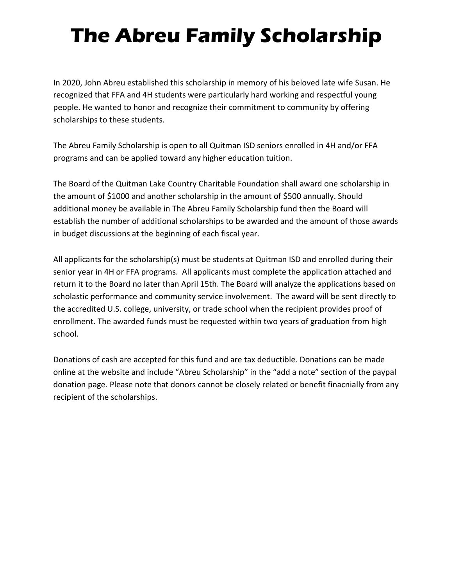# **The Abreu Family Scholarship**

In 2020, John Abreu established this scholarship in memory of his beloved late wife Susan. He recognized that FFA and 4H students were particularly hard working and respectful young people. He wanted to honor and recognize their commitment to community by offering scholarships to these students.

The Abreu Family Scholarship is open to all Quitman ISD seniors enrolled in 4H and/or FFA programs and can be applied toward any higher education tuition.

The Board of the Quitman Lake Country Charitable Foundation shall award one scholarship in the amount of \$1000 and another scholarship in the amount of \$500 annually. Should additional money be available in The Abreu Family Scholarship fund then the Board will establish the number of additional scholarships to be awarded and the amount of those awards in budget discussions at the beginning of each fiscal year.

All applicants for the scholarship(s) must be students at Quitman ISD and enrolled during their senior year in 4H or FFA programs. All applicants must complete the application attached and return it to the Board no later than April 15th. The Board will analyze the applications based on scholastic performance and community service involvement. The award will be sent directly to the accredited U.S. college, university, or trade school when the recipient provides proof of enrollment. The awarded funds must be requested within two years of graduation from high school.

Donations of cash are accepted for this fund and are tax deductible. Donations can be made online at the website and include "Abreu Scholarship" in the "add a note" section of the paypal donation page. Please note that donors cannot be closely related or benefit finacnially from any recipient of the scholarships.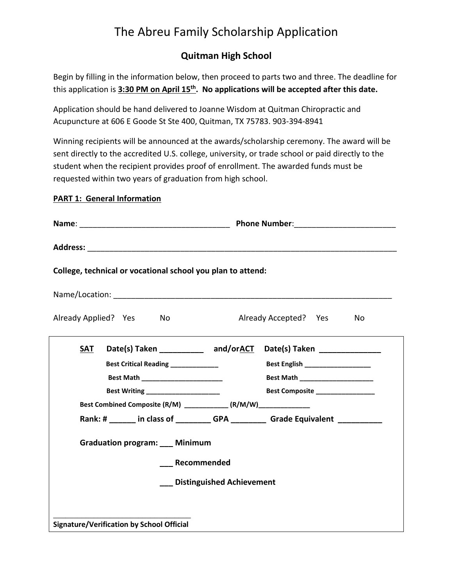## The Abreu Family Scholarship Application

### **Quitman High School**

Begin by filling in the information below, then proceed to parts two and three. The deadline for this application is **3:30 PM on April 15th. No applications will be accepted after this date.**

Application should be hand delivered to Joanne Wisdom at Quitman Chiropractic and Acupuncture at 606 E Goode St Ste 400, Quitman, TX 75783. 903-394-8941

Winning recipients will be announced at the awards/scholarship ceremony. The award will be sent directly to the accredited U.S. college, university, or trade school or paid directly to the student when the recipient provides proof of enrollment. The awarded funds must be requested within two years of graduation from high school.

#### **PART 1: General Information**

| College, technical or vocational school you plan to attend:                       |                                                                       |
|-----------------------------------------------------------------------------------|-----------------------------------------------------------------------|
|                                                                                   |                                                                       |
| Already Applied? Yes<br>No                                                        | Already Accepted? Yes<br>No                                           |
| SAT                                                                               | Date(s) Taken _______________ and/orACT Date(s) Taken _______________ |
| Best Critical Reading _____________                                               | Best English ____________________                                     |
|                                                                                   |                                                                       |
| Best Writing ________________________                                             | Best Composite _______________                                        |
| Best Combined Composite (R/M) ____________ (R/M/W)_____________                   |                                                                       |
| Rank: # ______ in class of ___________GPA ____________Grade Equivalent __________ |                                                                       |
| <b>Graduation program:</b> Minimum                                                |                                                                       |
| Recommended                                                                       |                                                                       |
| <b>Distinguished Achievement</b>                                                  |                                                                       |
| <b>Signature/Verification by School Official</b>                                  |                                                                       |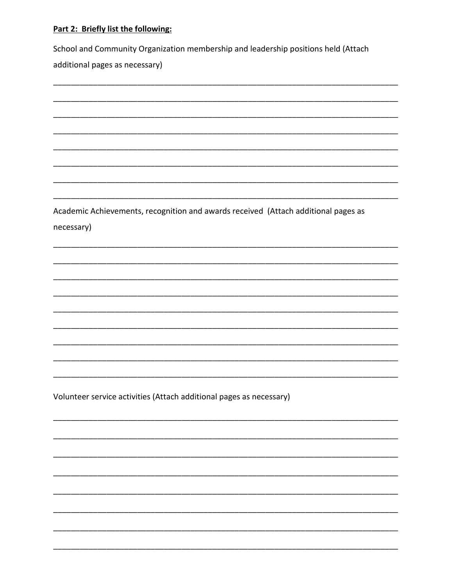#### Part 2: Briefly list the following:

School and Community Organization membership and leadership positions held (Attach

additional pages as necessary)

Academic Achievements, recognition and awards received (Attach additional pages as necessary)

Volunteer service activities (Attach additional pages as necessary)